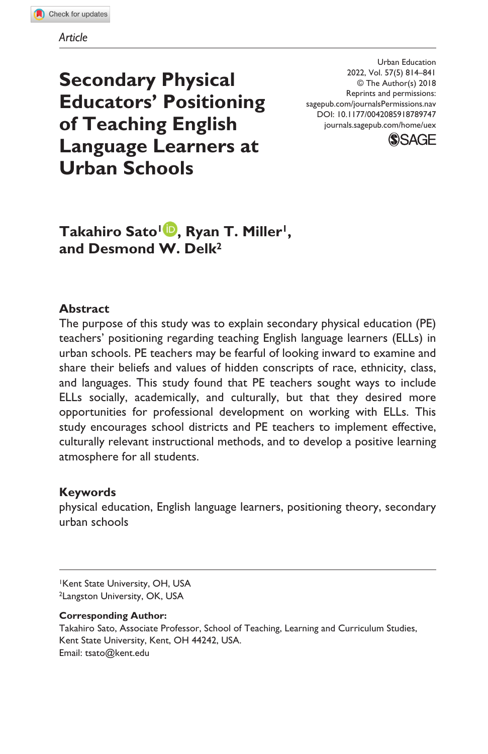**Secondary Physical Educators' Positioning of Teaching English Language Learners at Urban Schools**

DOI: 10.1177/0042085918789747 Urban Education © The Author(s) 2018 Reprints and permissions: [sagepub.com/journalsPermissions.nav](https://us.sagepub.com/en-us/journals-permissions) [journals.sagepub.com/home/uex](https://journals.sagepub.com/home/uex) 2022, Vol. 57(5) 814–841



**Takahiro Sato1 , Ryan T. Miller1, and Desmond W. Delk2**

### **Abstract**

The purpose of this study was to explain secondary physical education (PE) teachers' positioning regarding teaching English language learners (ELLs) in urban schools. PE teachers may be fearful of looking inward to examine and share their beliefs and values of hidden conscripts of race, ethnicity, class, and languages. This study found that PE teachers sought ways to include ELLs socially, academically, and culturally, but that they desired more opportunities for professional development on working with ELLs. This study encourages school districts and PE teachers to implement effective, culturally relevant instructional methods, and to develop a positive learning atmosphere for all students.

### **Keywords**

physical education, English language learners, positioning theory, secondary urban schools

1Kent State University, OH, USA 2Langston University, OK, USA

#### **Corresponding Author:**

Takahiro Sato, Associate Professor, School of Teaching, Learning and Curriculum Studies, Kent State University, Kent, OH 44242, USA. Email: [tsato@kent.edu](mailto:tsato@kent.edu)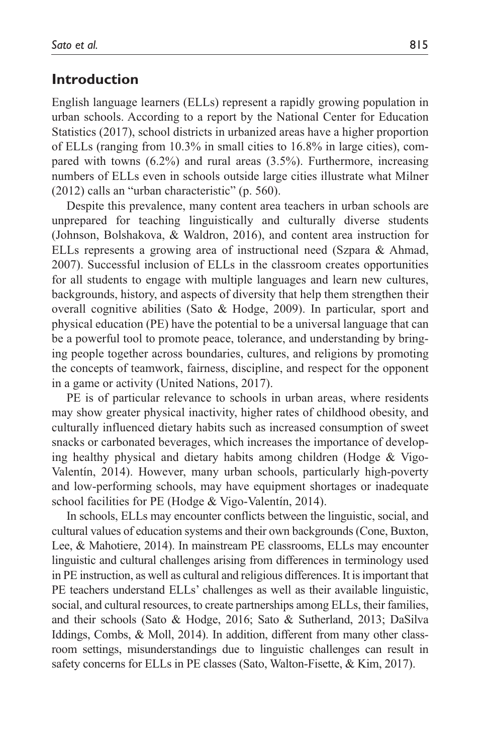## **Introduction**

English language learners (ELLs) represent a rapidly growing population in urban schools. According to a report by the National Center for Education Statistics (2017), school districts in urbanized areas have a higher proportion of ELLs (ranging from 10.3% in small cities to 16.8% in large cities), compared with towns (6.2%) and rural areas (3.5%). Furthermore, increasing numbers of ELLs even in schools outside large cities illustrate what Milner (2012) calls an "urban characteristic" (p. 560).

Despite this prevalence, many content area teachers in urban schools are unprepared for teaching linguistically and culturally diverse students (Johnson, Bolshakova, & Waldron, 2016), and content area instruction for ELLs represents a growing area of instructional need (Szpara & Ahmad, 2007). Successful inclusion of ELLs in the classroom creates opportunities for all students to engage with multiple languages and learn new cultures, backgrounds, history, and aspects of diversity that help them strengthen their overall cognitive abilities (Sato & Hodge, 2009). In particular, sport and physical education (PE) have the potential to be a universal language that can be a powerful tool to promote peace, tolerance, and understanding by bringing people together across boundaries, cultures, and religions by promoting the concepts of teamwork, fairness, discipline, and respect for the opponent in a game or activity (United Nations, 2017).

PE is of particular relevance to schools in urban areas, where residents may show greater physical inactivity, higher rates of childhood obesity, and culturally influenced dietary habits such as increased consumption of sweet snacks or carbonated beverages, which increases the importance of developing healthy physical and dietary habits among children (Hodge & Vigo-Valentín, 2014). However, many urban schools, particularly high-poverty and low-performing schools, may have equipment shortages or inadequate school facilities for PE (Hodge & Vigo-Valentín, 2014).

In schools, ELLs may encounter conflicts between the linguistic, social, and cultural values of education systems and their own backgrounds (Cone, Buxton, Lee, & Mahotiere, 2014). In mainstream PE classrooms, ELLs may encounter linguistic and cultural challenges arising from differences in terminology used in PE instruction, as well as cultural and religious differences. It is important that PE teachers understand ELLs' challenges as well as their available linguistic, social, and cultural resources, to create partnerships among ELLs, their families, and their schools (Sato & Hodge, 2016; Sato & Sutherland, 2013; DaSilva Iddings, Combs, & Moll, 2014). In addition, different from many other classroom settings, misunderstandings due to linguistic challenges can result in safety concerns for ELLs in PE classes (Sato, Walton-Fisette, & Kim, 2017).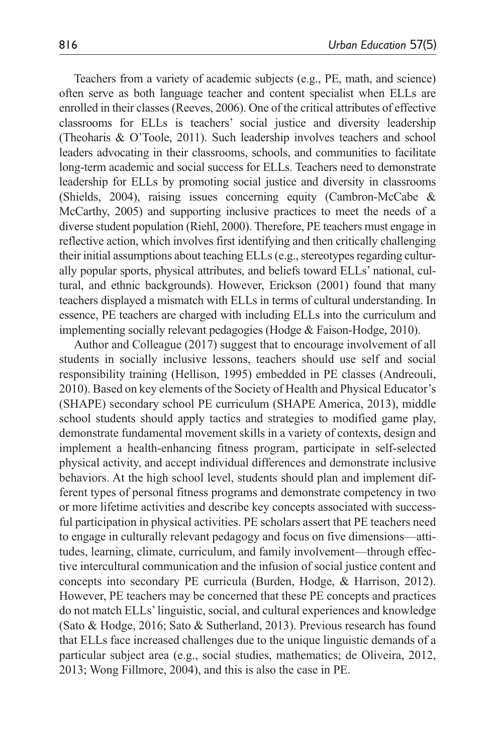Teachers from a variety of academic subjects (e.g., PE, math, and science) often serve as both language teacher and content specialist when ELLs are enrolled in their classes (Reeves, 2006). One of the critical attributes of effective classrooms for ELLs is teachers' social justice and diversity leadership (Theoharis & O'Toole, 2011). Such leadership involves teachers and school leaders advocating in their classrooms, schools, and communities to facilitate long-term academic and social success for ELLs. Teachers need to demonstrate leadership for ELLs by promoting social justice and diversity in classrooms (Shields, 2004), raising issues concerning equity (Cambron-McCabe & McCarthy, 2005) and supporting inclusive practices to meet the needs of a diverse student population (Riehl, 2000). Therefore, PE teachers must engage in reflective action, which involves first identifying and then critically challenging their initial assumptions about teaching ELLs (e.g., stereotypes regarding culturally popular sports, physical attributes, and beliefs toward ELLs' national, cultural, and ethnic backgrounds). However, Erickson (2001) found that many teachers displayed a mismatch with ELLs in terms of cultural understanding. In essence, PE teachers are charged with including ELLs into the curriculum and implementing socially relevant pedagogies (Hodge & Faison-Hodge, 2010).

Author and Colleague (2017) suggest that to encourage involvement of all students in socially inclusive lessons, teachers should use self and social responsibility training (Hellison, 1995) embedded in PE classes (Andreouli, 2010). Based on key elements of the Society of Health and Physical Educator's (SHAPE) secondary school PE curriculum (SHAPE America, 2013), middle school students should apply tactics and strategies to modified game play, demonstrate fundamental movement skills in a variety of contexts, design and implement a health-enhancing fitness program, participate in self-selected physical activity, and accept individual differences and demonstrate inclusive behaviors. At the high school level, students should plan and implement different types of personal fitness programs and demonstrate competency in two or more lifetime activities and describe key concepts associated with successful participation in physical activities. PE scholars assert that PE teachers need to engage in culturally relevant pedagogy and focus on five dimensions—attitudes, learning, climate, curriculum, and family involvement—through effective intercultural communication and the infusion of social justice content and concepts into secondary PE curricula (Burden, Hodge, & Harrison, 2012). However, PE teachers may be concerned that these PE concepts and practices do not match ELLs' linguistic, social, and cultural experiences and knowledge (Sato & Hodge, 2016; Sato & Sutherland, 2013). Previous research has found that ELLs face increased challenges due to the unique linguistic demands of a particular subject area (e.g., social studies, mathematics; de Oliveira, 2012, 2013; Wong Fillmore, 2004), and this is also the case in PE.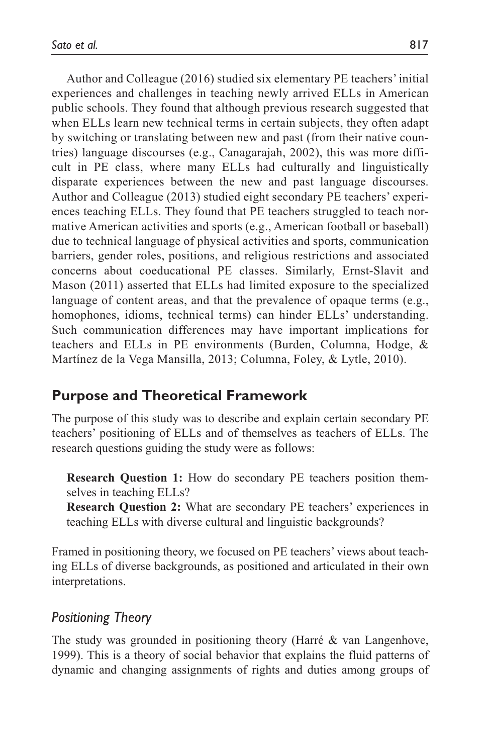Author and Colleague (2016) studied six elementary PE teachers' initial experiences and challenges in teaching newly arrived ELLs in American public schools. They found that although previous research suggested that when ELLs learn new technical terms in certain subjects, they often adapt by switching or translating between new and past (from their native countries) language discourses (e.g., Canagarajah, 2002), this was more difficult in PE class, where many ELLs had culturally and linguistically disparate experiences between the new and past language discourses. Author and Colleague (2013) studied eight secondary PE teachers' experiences teaching ELLs. They found that PE teachers struggled to teach normative American activities and sports (e.g., American football or baseball) due to technical language of physical activities and sports, communication barriers, gender roles, positions, and religious restrictions and associated concerns about coeducational PE classes. Similarly, Ernst-Slavit and Mason (2011) asserted that ELLs had limited exposure to the specialized language of content areas, and that the prevalence of opaque terms (e.g., homophones, idioms, technical terms) can hinder ELLs' understanding. Such communication differences may have important implications for teachers and ELLs in PE environments (Burden, Columna, Hodge, & Martínez de la Vega Mansilla, 2013; Columna, Foley, & Lytle, 2010).

## **Purpose and Theoretical Framework**

The purpose of this study was to describe and explain certain secondary PE teachers' positioning of ELLs and of themselves as teachers of ELLs. The research questions guiding the study were as follows:

**Research Question 1:** How do secondary PE teachers position themselves in teaching ELLs?

**Research Question 2:** What are secondary PE teachers' experiences in teaching ELLs with diverse cultural and linguistic backgrounds?

Framed in positioning theory, we focused on PE teachers' views about teaching ELLs of diverse backgrounds, as positioned and articulated in their own interpretations.

## *Positioning Theory*

The study was grounded in positioning theory (Harré & van Langenhove, 1999). This is a theory of social behavior that explains the fluid patterns of dynamic and changing assignments of rights and duties among groups of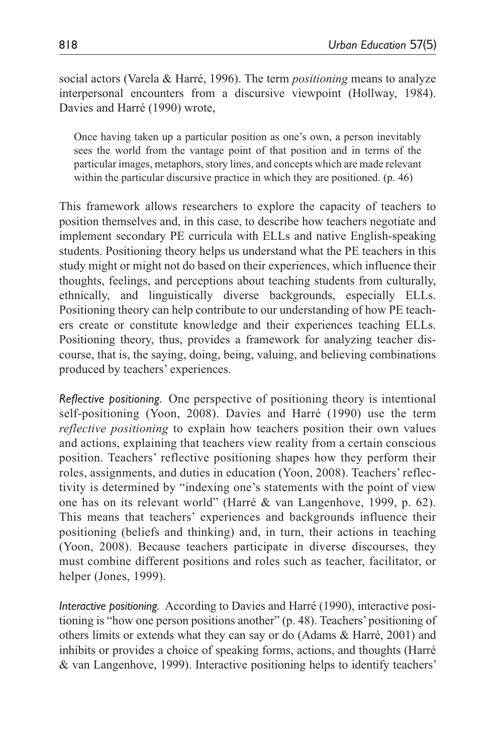social actors (Varela & Harré, 1996). The term *positioning* means to analyze interpersonal encounters from a discursive viewpoint (Hollway, 1984). Davies and Harré (1990) wrote,

Once having taken up a particular position as one's own, a person inevitably sees the world from the vantage point of that position and in terms of the particular images, metaphors, story lines, and concepts which are made relevant within the particular discursive practice in which they are positioned. (p. 46)

This framework allows researchers to explore the capacity of teachers to position themselves and, in this case, to describe how teachers negotiate and implement secondary PE curricula with ELLs and native English-speaking students. Positioning theory helps us understand what the PE teachers in this study might or might not do based on their experiences, which influence their thoughts, feelings, and perceptions about teaching students from culturally, ethnically, and linguistically diverse backgrounds, especially ELLs. Positioning theory can help contribute to our understanding of how PE teachers create or constitute knowledge and their experiences teaching ELLs. Positioning theory, thus, provides a framework for analyzing teacher discourse, that is, the saying, doing, being, valuing, and believing combinations produced by teachers' experiences.

*Reflective positioning.* One perspective of positioning theory is intentional self-positioning (Yoon, 2008). Davies and Harré (1990) use the term *reflective positioning* to explain how teachers position their own values and actions, explaining that teachers view reality from a certain conscious position. Teachers' reflective positioning shapes how they perform their roles, assignments, and duties in education (Yoon, 2008). Teachers' reflectivity is determined by "indexing one's statements with the point of view one has on its relevant world" (Harré & van Langenhove, 1999, p. 62). This means that teachers' experiences and backgrounds influence their positioning (beliefs and thinking) and, in turn, their actions in teaching (Yoon, 2008). Because teachers participate in diverse discourses, they must combine different positions and roles such as teacher, facilitator, or helper (Jones, 1999).

*Interactive positioning.* According to Davies and Harré (1990), interactive positioning is "how one person positions another" (p. 48). Teachers' positioning of others limits or extends what they can say or do (Adams & Harré, 2001) and inhibits or provides a choice of speaking forms, actions, and thoughts (Harré & van Langenhove, 1999). Interactive positioning helps to identify teachers'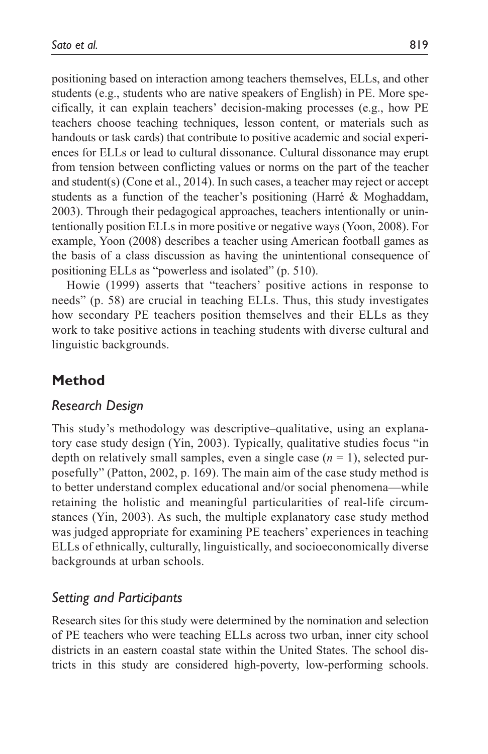positioning based on interaction among teachers themselves, ELLs, and other students (e.g., students who are native speakers of English) in PE. More specifically, it can explain teachers' decision-making processes (e.g., how PE teachers choose teaching techniques, lesson content, or materials such as handouts or task cards) that contribute to positive academic and social experiences for ELLs or lead to cultural dissonance. Cultural dissonance may erupt from tension between conflicting values or norms on the part of the teacher and student(s) (Cone et al., 2014). In such cases, a teacher may reject or accept students as a function of the teacher's positioning (Harré & Moghaddam, 2003). Through their pedagogical approaches, teachers intentionally or unintentionally position ELLs in more positive or negative ways (Yoon, 2008). For example, Yoon (2008) describes a teacher using American football games as the basis of a class discussion as having the unintentional consequence of positioning ELLs as "powerless and isolated" (p. 510).

Howie (1999) asserts that "teachers' positive actions in response to needs" (p. 58) are crucial in teaching ELLs. Thus, this study investigates how secondary PE teachers position themselves and their ELLs as they work to take positive actions in teaching students with diverse cultural and linguistic backgrounds.

# **Method**

## *Research Design*

This study's methodology was descriptive–qualitative, using an explanatory case study design (Yin, 2003). Typically, qualitative studies focus "in depth on relatively small samples, even a single case  $(n = 1)$ , selected purposefully" (Patton, 2002, p. 169). The main aim of the case study method is to better understand complex educational and/or social phenomena—while retaining the holistic and meaningful particularities of real-life circumstances (Yin, 2003). As such, the multiple explanatory case study method was judged appropriate for examining PE teachers' experiences in teaching ELLs of ethnically, culturally, linguistically, and socioeconomically diverse backgrounds at urban schools.

## *Setting and Participants*

Research sites for this study were determined by the nomination and selection of PE teachers who were teaching ELLs across two urban, inner city school districts in an eastern coastal state within the United States. The school districts in this study are considered high-poverty, low-performing schools.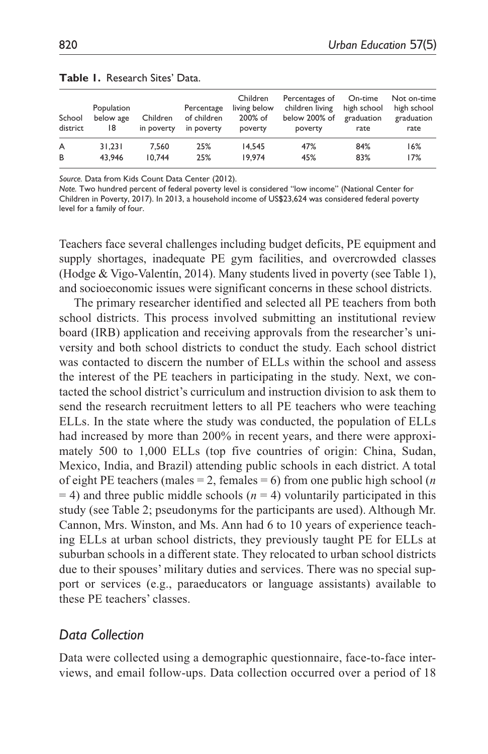| School<br>district | Population<br>below age<br>18 | Children<br>in poverty | Percentage<br>of children<br>in poverty | Children<br>living below<br>200% of<br>poverty | Percentages of<br>children living<br>below 200% of<br>poverty | On-time<br>high school<br>graduation<br>rate | Not on-time<br>high school<br>graduation<br>rate |
|--------------------|-------------------------------|------------------------|-----------------------------------------|------------------------------------------------|---------------------------------------------------------------|----------------------------------------------|--------------------------------------------------|
| A                  | 31.231                        | 7.560                  | 25%                                     | 14.545                                         | 47%                                                           | 84%                                          | 16%                                              |
| B                  | 43.946                        | 10.744                 | 25%                                     | 19.974                                         | 45%                                                           | 83%                                          | 17%                                              |

#### **Table 1.** Research Sites' Data.

*Source.* Data from Kids Count Data Center (2012).

*Note.* Two hundred percent of federal poverty level is considered "low income" (National Center for Children in Poverty, 2017). In 2013, a household income of US\$23,624 was considered federal poverty level for a family of four.

Teachers face several challenges including budget deficits, PE equipment and supply shortages, inadequate PE gym facilities, and overcrowded classes (Hodge & Vigo-Valentín, 2014). Many students lived in poverty (see Table 1), and socioeconomic issues were significant concerns in these school districts.

The primary researcher identified and selected all PE teachers from both school districts. This process involved submitting an institutional review board (IRB) application and receiving approvals from the researcher's university and both school districts to conduct the study. Each school district was contacted to discern the number of ELLs within the school and assess the interest of the PE teachers in participating in the study. Next, we contacted the school district's curriculum and instruction division to ask them to send the research recruitment letters to all PE teachers who were teaching ELLs. In the state where the study was conducted, the population of ELLs had increased by more than 200% in recent years, and there were approximately 500 to 1,000 ELLs (top five countries of origin: China, Sudan, Mexico, India, and Brazil) attending public schools in each district. A total of eight PE teachers (males = 2, females = 6) from one public high school (*n*  $=$  4) and three public middle schools ( $n = 4$ ) voluntarily participated in this study (see Table 2; pseudonyms for the participants are used). Although Mr. Cannon, Mrs. Winston, and Ms. Ann had 6 to 10 years of experience teaching ELLs at urban school districts, they previously taught PE for ELLs at suburban schools in a different state. They relocated to urban school districts due to their spouses' military duties and services. There was no special support or services (e.g., paraeducators or language assistants) available to these PE teachers' classes.

### *Data Collection*

Data were collected using a demographic questionnaire, face-to-face interviews, and email follow-ups. Data collection occurred over a period of 18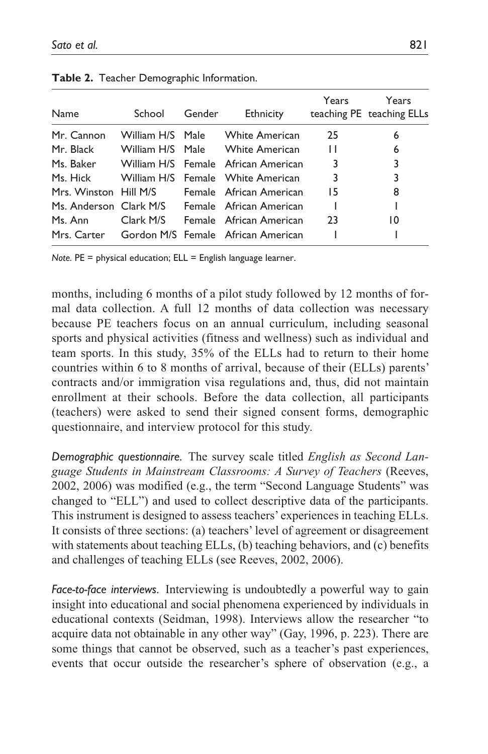| Name                  | School    | Gender | Ethnicity                                      | Years | Years<br>teaching PE teaching ELLs |
|-----------------------|-----------|--------|------------------------------------------------|-------|------------------------------------|
| Mr. Cannon            |           |        | William H/S Male White American                | 25    | 6                                  |
| Mr. Black             |           |        | William H/S Male White American                | П     | 6                                  |
| Ms. Baker             |           |        | William H/S Female African American            | 3     | 3                                  |
| Ms. Hick              |           |        | William H/S Female White American              | 3     | 3                                  |
| Mrs. Winston Hill M/S |           |        | Female African American                        | 15    | 8                                  |
|                       |           |        | Ms. Anderson Clark M/S Female African American |       |                                    |
| Ms. Ann               | Clark M/S |        | Female African American                        | 23    | 10                                 |
| Mrs. Carter           |           |        | Gordon M/S Female African American             |       |                                    |

**Table 2.** Teacher Demographic Information.

*Note.* PE = physical education; ELL = English language learner.

months, including 6 months of a pilot study followed by 12 months of formal data collection. A full 12 months of data collection was necessary because PE teachers focus on an annual curriculum, including seasonal sports and physical activities (fitness and wellness) such as individual and team sports. In this study, 35% of the ELLs had to return to their home countries within 6 to 8 months of arrival, because of their (ELLs) parents' contracts and/or immigration visa regulations and, thus, did not maintain enrollment at their schools. Before the data collection, all participants (teachers) were asked to send their signed consent forms, demographic questionnaire, and interview protocol for this study.

*Demographic questionnaire.* The survey scale titled *English as Second Language Students in Mainstream Classrooms: A Survey of Teachers* (Reeves, 2002, 2006) was modified (e.g., the term "Second Language Students" was changed to "ELL") and used to collect descriptive data of the participants. This instrument is designed to assess teachers' experiences in teaching ELLs. It consists of three sections: (a) teachers' level of agreement or disagreement with statements about teaching ELLs, (b) teaching behaviors, and (c) benefits and challenges of teaching ELLs (see Reeves, 2002, 2006).

*Face-to-face interviews.* Interviewing is undoubtedly a powerful way to gain insight into educational and social phenomena experienced by individuals in educational contexts (Seidman, 1998). Interviews allow the researcher "to acquire data not obtainable in any other way" (Gay, 1996, p. 223). There are some things that cannot be observed, such as a teacher's past experiences, events that occur outside the researcher's sphere of observation (e.g., a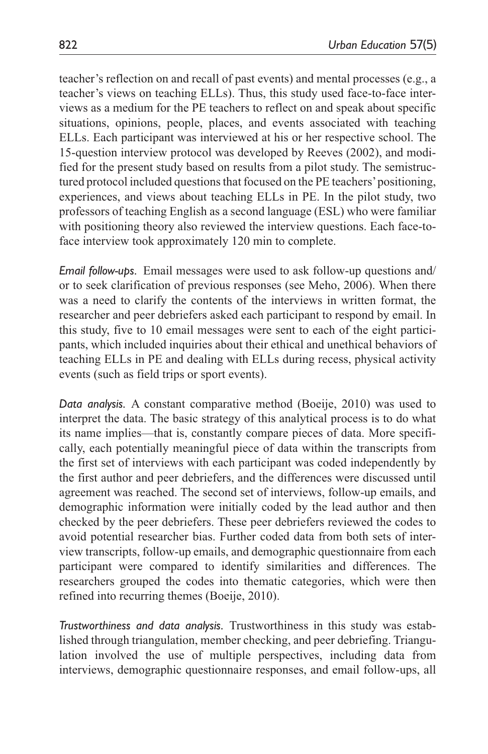teacher's reflection on and recall of past events) and mental processes (e.g., a teacher's views on teaching ELLs). Thus, this study used face-to-face interviews as a medium for the PE teachers to reflect on and speak about specific situations, opinions, people, places, and events associated with teaching ELLs. Each participant was interviewed at his or her respective school. The 15-question interview protocol was developed by Reeves (2002), and modified for the present study based on results from a pilot study. The semistructured protocol included questions that focused on the PE teachers' positioning, experiences, and views about teaching ELLs in PE. In the pilot study, two professors of teaching English as a second language (ESL) who were familiar with positioning theory also reviewed the interview questions. Each face-toface interview took approximately 120 min to complete.

*Email follow-ups.* Email messages were used to ask follow-up questions and/ or to seek clarification of previous responses (see Meho, 2006). When there was a need to clarify the contents of the interviews in written format, the researcher and peer debriefers asked each participant to respond by email. In this study, five to 10 email messages were sent to each of the eight participants, which included inquiries about their ethical and unethical behaviors of teaching ELLs in PE and dealing with ELLs during recess, physical activity events (such as field trips or sport events).

*Data analysis.* A constant comparative method (Boeije, 2010) was used to interpret the data. The basic strategy of this analytical process is to do what its name implies—that is, constantly compare pieces of data. More specifically, each potentially meaningful piece of data within the transcripts from the first set of interviews with each participant was coded independently by the first author and peer debriefers, and the differences were discussed until agreement was reached. The second set of interviews, follow-up emails, and demographic information were initially coded by the lead author and then checked by the peer debriefers. These peer debriefers reviewed the codes to avoid potential researcher bias. Further coded data from both sets of interview transcripts, follow-up emails, and demographic questionnaire from each participant were compared to identify similarities and differences. The researchers grouped the codes into thematic categories, which were then refined into recurring themes (Boeije, 2010).

*Trustworthiness and data analysis.* Trustworthiness in this study was established through triangulation, member checking, and peer debriefing. Triangulation involved the use of multiple perspectives, including data from interviews, demographic questionnaire responses, and email follow-ups, all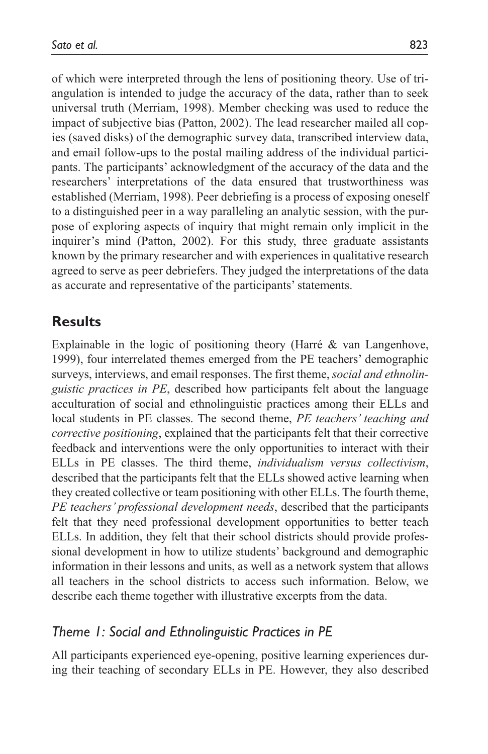of which were interpreted through the lens of positioning theory. Use of triangulation is intended to judge the accuracy of the data, rather than to seek universal truth (Merriam, 1998). Member checking was used to reduce the impact of subjective bias (Patton, 2002). The lead researcher mailed all copies (saved disks) of the demographic survey data, transcribed interview data, and email follow-ups to the postal mailing address of the individual participants. The participants' acknowledgment of the accuracy of the data and the researchers' interpretations of the data ensured that trustworthiness was established (Merriam, 1998). Peer debriefing is a process of exposing oneself to a distinguished peer in a way paralleling an analytic session, with the purpose of exploring aspects of inquiry that might remain only implicit in the inquirer's mind (Patton, 2002). For this study, three graduate assistants known by the primary researcher and with experiences in qualitative research agreed to serve as peer debriefers. They judged the interpretations of the data as accurate and representative of the participants' statements.

## **Results**

Explainable in the logic of positioning theory (Harré & van Langenhove, 1999), four interrelated themes emerged from the PE teachers' demographic surveys, interviews, and email responses. The first theme, *social and ethnolinguistic practices in PE*, described how participants felt about the language acculturation of social and ethnolinguistic practices among their ELLs and local students in PE classes. The second theme, *PE teachers' teaching and corrective positioning*, explained that the participants felt that their corrective feedback and interventions were the only opportunities to interact with their ELLs in PE classes. The third theme, *individualism versus collectivism*, described that the participants felt that the ELLs showed active learning when they created collective or team positioning with other ELLs. The fourth theme, *PE teachers' professional development needs*, described that the participants felt that they need professional development opportunities to better teach ELLs. In addition, they felt that their school districts should provide professional development in how to utilize students' background and demographic information in their lessons and units, as well as a network system that allows all teachers in the school districts to access such information. Below, we describe each theme together with illustrative excerpts from the data.

## *Theme 1: Social and Ethnolinguistic Practices in PE*

All participants experienced eye-opening, positive learning experiences during their teaching of secondary ELLs in PE. However, they also described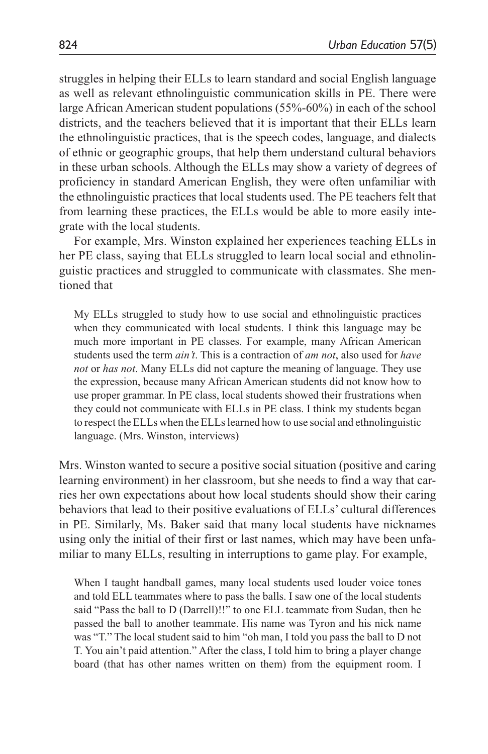struggles in helping their ELLs to learn standard and social English language as well as relevant ethnolinguistic communication skills in PE. There were large African American student populations (55%-60%) in each of the school districts, and the teachers believed that it is important that their ELLs learn the ethnolinguistic practices, that is the speech codes, language, and dialects of ethnic or geographic groups, that help them understand cultural behaviors in these urban schools. Although the ELLs may show a variety of degrees of proficiency in standard American English, they were often unfamiliar with the ethnolinguistic practices that local students used. The PE teachers felt that from learning these practices, the ELLs would be able to more easily integrate with the local students.

For example, Mrs. Winston explained her experiences teaching ELLs in her PE class, saying that ELLs struggled to learn local social and ethnolinguistic practices and struggled to communicate with classmates. She mentioned that

My ELLs struggled to study how to use social and ethnolinguistic practices when they communicated with local students. I think this language may be much more important in PE classes. For example, many African American students used the term *ain't*. This is a contraction of *am not*, also used for *have not* or *has not*. Many ELLs did not capture the meaning of language. They use the expression, because many African American students did not know how to use proper grammar. In PE class, local students showed their frustrations when they could not communicate with ELLs in PE class. I think my students began to respect the ELLs when the ELLs learned how to use social and ethnolinguistic language. (Mrs. Winston, interviews)

Mrs. Winston wanted to secure a positive social situation (positive and caring learning environment) in her classroom, but she needs to find a way that carries her own expectations about how local students should show their caring behaviors that lead to their positive evaluations of ELLs' cultural differences in PE. Similarly, Ms. Baker said that many local students have nicknames using only the initial of their first or last names, which may have been unfamiliar to many ELLs, resulting in interruptions to game play. For example,

When I taught handball games, many local students used louder voice tones and told ELL teammates where to pass the balls. I saw one of the local students said "Pass the ball to D (Darrell)!!" to one ELL teammate from Sudan, then he passed the ball to another teammate. His name was Tyron and his nick name was "T." The local student said to him "oh man, I told you pass the ball to D not T. You ain't paid attention." After the class, I told him to bring a player change board (that has other names written on them) from the equipment room. I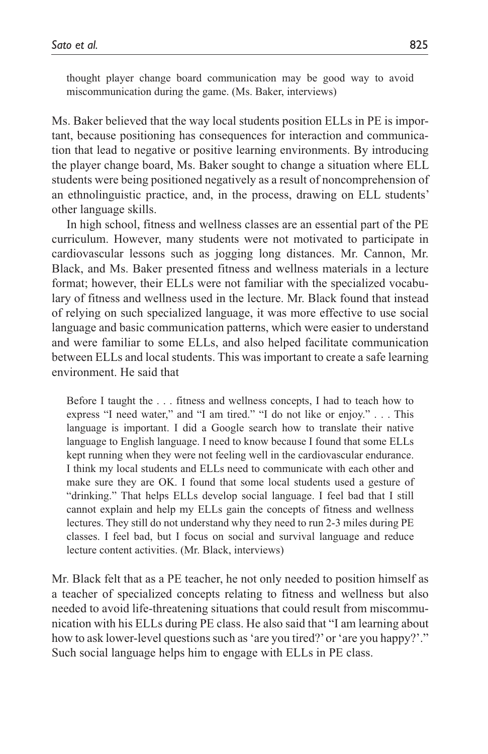thought player change board communication may be good way to avoid miscommunication during the game. (Ms. Baker, interviews)

Ms. Baker believed that the way local students position ELLs in PE is important, because positioning has consequences for interaction and communication that lead to negative or positive learning environments. By introducing the player change board, Ms. Baker sought to change a situation where ELL students were being positioned negatively as a result of noncomprehension of an ethnolinguistic practice, and, in the process, drawing on ELL students' other language skills.

In high school, fitness and wellness classes are an essential part of the PE curriculum. However, many students were not motivated to participate in cardiovascular lessons such as jogging long distances. Mr. Cannon, Mr. Black, and Ms. Baker presented fitness and wellness materials in a lecture format; however, their ELLs were not familiar with the specialized vocabulary of fitness and wellness used in the lecture. Mr. Black found that instead of relying on such specialized language, it was more effective to use social language and basic communication patterns, which were easier to understand and were familiar to some ELLs, and also helped facilitate communication between ELLs and local students. This was important to create a safe learning environment. He said that

Before I taught the . . . fitness and wellness concepts, I had to teach how to express "I need water," and "I am tired." "I do not like or enjoy." . . . This language is important. I did a Google search how to translate their native language to English language. I need to know because I found that some ELLs kept running when they were not feeling well in the cardiovascular endurance. I think my local students and ELLs need to communicate with each other and make sure they are OK. I found that some local students used a gesture of "drinking." That helps ELLs develop social language. I feel bad that I still cannot explain and help my ELLs gain the concepts of fitness and wellness lectures. They still do not understand why they need to run 2-3 miles during PE classes. I feel bad, but I focus on social and survival language and reduce lecture content activities. (Mr. Black, interviews)

Mr. Black felt that as a PE teacher, he not only needed to position himself as a teacher of specialized concepts relating to fitness and wellness but also needed to avoid life-threatening situations that could result from miscommunication with his ELLs during PE class. He also said that "I am learning about how to ask lower-level questions such as 'are you tired?' or 'are you happy?'." Such social language helps him to engage with ELLs in PE class.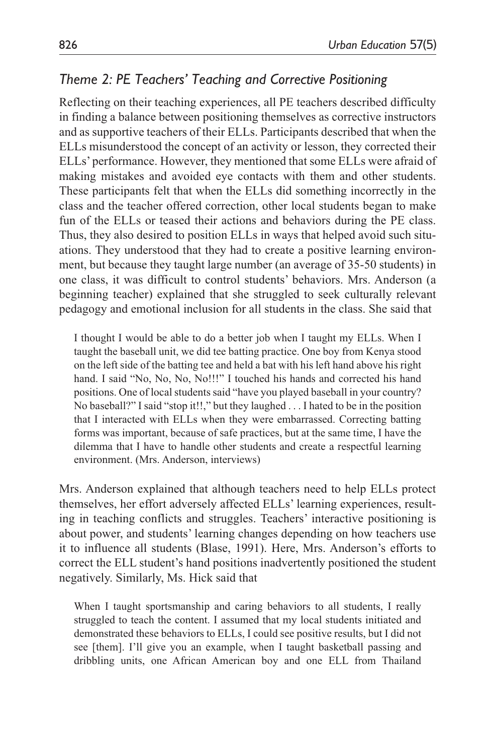## *Theme 2: PE Teachers' Teaching and Corrective Positioning*

Reflecting on their teaching experiences, all PE teachers described difficulty in finding a balance between positioning themselves as corrective instructors and as supportive teachers of their ELLs. Participants described that when the ELLs misunderstood the concept of an activity or lesson, they corrected their ELLs' performance. However, they mentioned that some ELLs were afraid of making mistakes and avoided eye contacts with them and other students. These participants felt that when the ELLs did something incorrectly in the class and the teacher offered correction, other local students began to make fun of the ELLs or teased their actions and behaviors during the PE class. Thus, they also desired to position ELLs in ways that helped avoid such situations. They understood that they had to create a positive learning environment, but because they taught large number (an average of 35-50 students) in one class, it was difficult to control students' behaviors. Mrs. Anderson (a beginning teacher) explained that she struggled to seek culturally relevant pedagogy and emotional inclusion for all students in the class. She said that

I thought I would be able to do a better job when I taught my ELLs. When I taught the baseball unit, we did tee batting practice. One boy from Kenya stood on the left side of the batting tee and held a bat with his left hand above his right hand. I said "No, No, No, No!!!" I touched his hands and corrected his hand positions. One of local students said "have you played baseball in your country? No baseball?" I said "stop it!!," but they laughed . . . I hated to be in the position that I interacted with ELLs when they were embarrassed. Correcting batting forms was important, because of safe practices, but at the same time, I have the dilemma that I have to handle other students and create a respectful learning environment. (Mrs. Anderson, interviews)

Mrs. Anderson explained that although teachers need to help ELLs protect themselves, her effort adversely affected ELLs' learning experiences, resulting in teaching conflicts and struggles. Teachers' interactive positioning is about power, and students' learning changes depending on how teachers use it to influence all students (Blase, 1991). Here, Mrs. Anderson's efforts to correct the ELL student's hand positions inadvertently positioned the student negatively. Similarly, Ms. Hick said that

When I taught sportsmanship and caring behaviors to all students, I really struggled to teach the content. I assumed that my local students initiated and demonstrated these behaviors to ELLs, I could see positive results, but I did not see [them]. I'll give you an example, when I taught basketball passing and dribbling units, one African American boy and one ELL from Thailand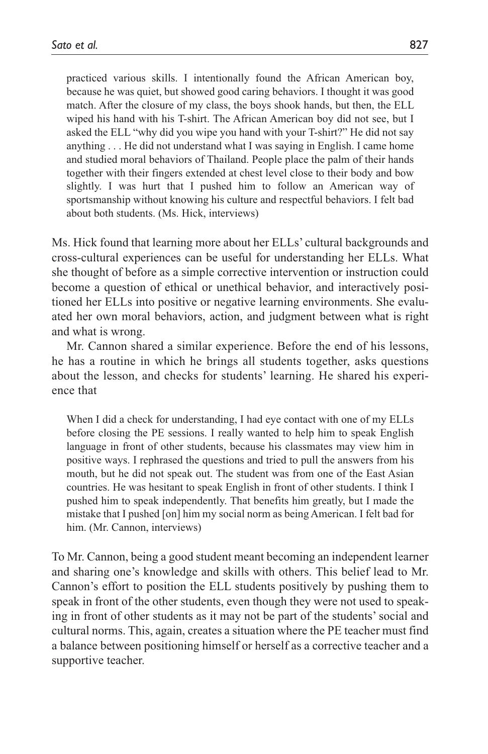practiced various skills. I intentionally found the African American boy, because he was quiet, but showed good caring behaviors. I thought it was good match. After the closure of my class, the boys shook hands, but then, the ELL wiped his hand with his T-shirt. The African American boy did not see, but I asked the ELL "why did you wipe you hand with your T-shirt?" He did not say anything . . . He did not understand what I was saying in English. I came home and studied moral behaviors of Thailand. People place the palm of their hands together with their fingers extended at chest level close to their body and bow slightly. I was hurt that I pushed him to follow an American way of sportsmanship without knowing his culture and respectful behaviors. I felt bad about both students. (Ms. Hick, interviews)

Ms. Hick found that learning more about her ELLs' cultural backgrounds and cross-cultural experiences can be useful for understanding her ELLs. What she thought of before as a simple corrective intervention or instruction could become a question of ethical or unethical behavior, and interactively positioned her ELLs into positive or negative learning environments. She evaluated her own moral behaviors, action, and judgment between what is right and what is wrong.

Mr. Cannon shared a similar experience. Before the end of his lessons, he has a routine in which he brings all students together, asks questions about the lesson, and checks for students' learning. He shared his experience that

When I did a check for understanding, I had eye contact with one of my ELLs before closing the PE sessions. I really wanted to help him to speak English language in front of other students, because his classmates may view him in positive ways. I rephrased the questions and tried to pull the answers from his mouth, but he did not speak out. The student was from one of the East Asian countries. He was hesitant to speak English in front of other students. I think I pushed him to speak independently. That benefits him greatly, but I made the mistake that I pushed [on] him my social norm as being American. I felt bad for him. (Mr. Cannon, interviews)

To Mr. Cannon, being a good student meant becoming an independent learner and sharing one's knowledge and skills with others. This belief lead to Mr. Cannon's effort to position the ELL students positively by pushing them to speak in front of the other students, even though they were not used to speaking in front of other students as it may not be part of the students' social and cultural norms. This, again, creates a situation where the PE teacher must find a balance between positioning himself or herself as a corrective teacher and a supportive teacher.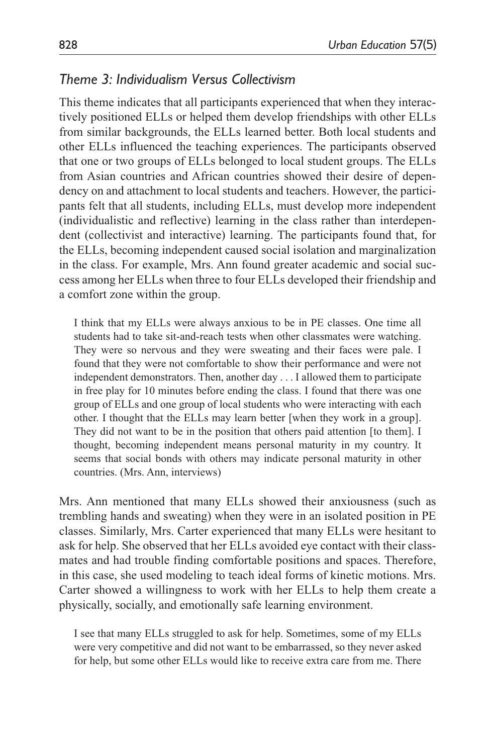### *Theme 3: Individualism Versus Collectivism*

This theme indicates that all participants experienced that when they interactively positioned ELLs or helped them develop friendships with other ELLs from similar backgrounds, the ELLs learned better. Both local students and other ELLs influenced the teaching experiences. The participants observed that one or two groups of ELLs belonged to local student groups. The ELLs from Asian countries and African countries showed their desire of dependency on and attachment to local students and teachers. However, the participants felt that all students, including ELLs, must develop more independent (individualistic and reflective) learning in the class rather than interdependent (collectivist and interactive) learning. The participants found that, for the ELLs, becoming independent caused social isolation and marginalization in the class. For example, Mrs. Ann found greater academic and social success among her ELLs when three to four ELLs developed their friendship and a comfort zone within the group.

I think that my ELLs were always anxious to be in PE classes. One time all students had to take sit-and-reach tests when other classmates were watching. They were so nervous and they were sweating and their faces were pale. I found that they were not comfortable to show their performance and were not independent demonstrators. Then, another day . . . I allowed them to participate in free play for 10 minutes before ending the class. I found that there was one group of ELLs and one group of local students who were interacting with each other. I thought that the ELLs may learn better [when they work in a group]. They did not want to be in the position that others paid attention [to them]. I thought, becoming independent means personal maturity in my country. It seems that social bonds with others may indicate personal maturity in other countries. (Mrs. Ann, interviews)

Mrs. Ann mentioned that many ELLs showed their anxiousness (such as trembling hands and sweating) when they were in an isolated position in PE classes. Similarly, Mrs. Carter experienced that many ELLs were hesitant to ask for help. She observed that her ELLs avoided eye contact with their classmates and had trouble finding comfortable positions and spaces. Therefore, in this case, she used modeling to teach ideal forms of kinetic motions. Mrs. Carter showed a willingness to work with her ELLs to help them create a physically, socially, and emotionally safe learning environment.

I see that many ELLs struggled to ask for help. Sometimes, some of my ELLs were very competitive and did not want to be embarrassed, so they never asked for help, but some other ELLs would like to receive extra care from me. There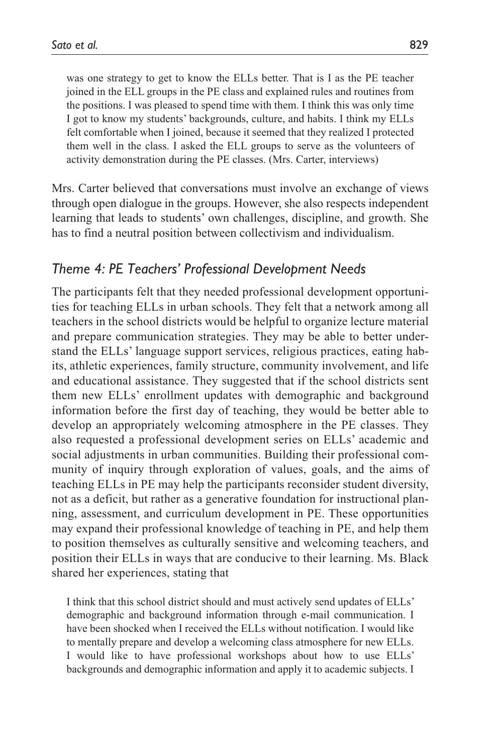was one strategy to get to know the ELLs better. That is I as the PE teacher joined in the ELL groups in the PE class and explained rules and routines from the positions. I was pleased to spend time with them. I think this was only time I got to know my students' backgrounds, culture, and habits. I think my ELLs felt comfortable when I joined, because it seemed that they realized I protected them well in the class. I asked the ELL groups to serve as the volunteers of activity demonstration during the PE classes. (Mrs. Carter, interviews)

Mrs. Carter believed that conversations must involve an exchange of views through open dialogue in the groups. However, she also respects independent learning that leads to students' own challenges, discipline, and growth. She has to find a neutral position between collectivism and individualism.

## *Theme 4: PE Teachers' Professional Development Needs*

The participants felt that they needed professional development opportunities for teaching ELLs in urban schools. They felt that a network among all teachers in the school districts would be helpful to organize lecture material and prepare communication strategies. They may be able to better understand the ELLs' language support services, religious practices, eating habits, athletic experiences, family structure, community involvement, and life and educational assistance. They suggested that if the school districts sent them new ELLs' enrollment updates with demographic and background information before the first day of teaching, they would be better able to develop an appropriately welcoming atmosphere in the PE classes. They also requested a professional development series on ELLs' academic and social adjustments in urban communities. Building their professional community of inquiry through exploration of values, goals, and the aims of teaching ELLs in PE may help the participants reconsider student diversity, not as a deficit, but rather as a generative foundation for instructional planning, assessment, and curriculum development in PE. These opportunities may expand their professional knowledge of teaching in PE, and help them to position themselves as culturally sensitive and welcoming teachers, and position their ELLs in ways that are conducive to their learning. Ms. Black shared her experiences, stating that

I think that this school district should and must actively send updates of ELLs' demographic and background information through e-mail communication. I have been shocked when I received the ELLs without notification. I would like to mentally prepare and develop a welcoming class atmosphere for new ELLs. I would like to have professional workshops about how to use ELLs' backgrounds and demographic information and apply it to academic subjects. I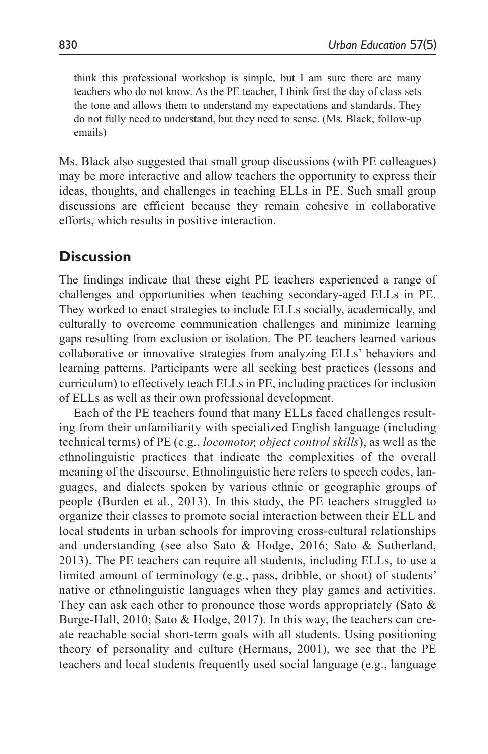think this professional workshop is simple, but I am sure there are many teachers who do not know. As the PE teacher, I think first the day of class sets the tone and allows them to understand my expectations and standards. They do not fully need to understand, but they need to sense. (Ms. Black, follow-up emails)

Ms. Black also suggested that small group discussions (with PE colleagues) may be more interactive and allow teachers the opportunity to express their ideas, thoughts, and challenges in teaching ELLs in PE. Such small group discussions are efficient because they remain cohesive in collaborative efforts, which results in positive interaction.

## **Discussion**

The findings indicate that these eight PE teachers experienced a range of challenges and opportunities when teaching secondary-aged ELLs in PE. They worked to enact strategies to include ELLs socially, academically, and culturally to overcome communication challenges and minimize learning gaps resulting from exclusion or isolation. The PE teachers learned various collaborative or innovative strategies from analyzing ELLs' behaviors and learning patterns. Participants were all seeking best practices (lessons and curriculum) to effectively teach ELLs in PE, including practices for inclusion of ELLs as well as their own professional development.

Each of the PE teachers found that many ELLs faced challenges resulting from their unfamiliarity with specialized English language (including technical terms) of PE (e.g., *locomotor, object control skills*), as well as the ethnolinguistic practices that indicate the complexities of the overall meaning of the discourse. Ethnolinguistic here refers to speech codes, languages, and dialects spoken by various ethnic or geographic groups of people (Burden et al., 2013). In this study, the PE teachers struggled to organize their classes to promote social interaction between their ELL and local students in urban schools for improving cross-cultural relationships and understanding (see also Sato & Hodge, 2016; Sato & Sutherland, 2013). The PE teachers can require all students, including ELLs, to use a limited amount of terminology (e.g., pass, dribble, or shoot) of students' native or ethnolinguistic languages when they play games and activities. They can ask each other to pronounce those words appropriately (Sato  $\&$ Burge-Hall, 2010; Sato & Hodge, 2017). In this way, the teachers can create reachable social short-term goals with all students. Using positioning theory of personality and culture (Hermans, 2001), we see that the PE teachers and local students frequently used social language (e.g., language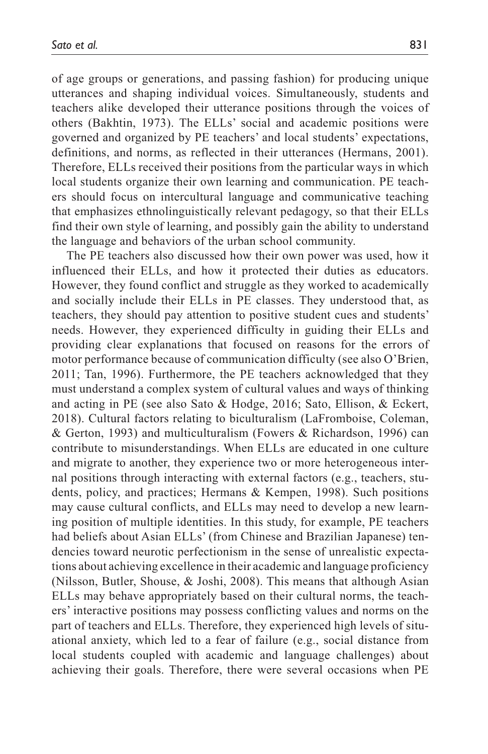of age groups or generations, and passing fashion) for producing unique utterances and shaping individual voices. Simultaneously, students and teachers alike developed their utterance positions through the voices of others (Bakhtin, 1973). The ELLs' social and academic positions were governed and organized by PE teachers' and local students' expectations, definitions, and norms, as reflected in their utterances (Hermans, 2001). Therefore, ELLs received their positions from the particular ways in which local students organize their own learning and communication. PE teachers should focus on intercultural language and communicative teaching that emphasizes ethnolinguistically relevant pedagogy, so that their ELLs find their own style of learning, and possibly gain the ability to understand the language and behaviors of the urban school community.

The PE teachers also discussed how their own power was used, how it influenced their ELLs, and how it protected their duties as educators. However, they found conflict and struggle as they worked to academically and socially include their ELLs in PE classes. They understood that, as teachers, they should pay attention to positive student cues and students' needs. However, they experienced difficulty in guiding their ELLs and providing clear explanations that focused on reasons for the errors of motor performance because of communication difficulty (see also O'Brien, 2011; Tan, 1996). Furthermore, the PE teachers acknowledged that they must understand a complex system of cultural values and ways of thinking and acting in PE (see also Sato & Hodge, 2016; Sato, Ellison, & Eckert, 2018). Cultural factors relating to biculturalism (LaFromboise, Coleman, & Gerton, 1993) and multiculturalism (Fowers & Richardson, 1996) can contribute to misunderstandings. When ELLs are educated in one culture and migrate to another, they experience two or more heterogeneous internal positions through interacting with external factors (e.g., teachers, students, policy, and practices; Hermans & Kempen, 1998). Such positions may cause cultural conflicts, and ELLs may need to develop a new learning position of multiple identities. In this study, for example, PE teachers had beliefs about Asian ELLs' (from Chinese and Brazilian Japanese) tendencies toward neurotic perfectionism in the sense of unrealistic expectations about achieving excellence in their academic and language proficiency (Nilsson, Butler, Shouse, & Joshi, 2008). This means that although Asian ELLs may behave appropriately based on their cultural norms, the teachers' interactive positions may possess conflicting values and norms on the part of teachers and ELLs. Therefore, they experienced high levels of situational anxiety, which led to a fear of failure (e.g., social distance from local students coupled with academic and language challenges) about achieving their goals. Therefore, there were several occasions when PE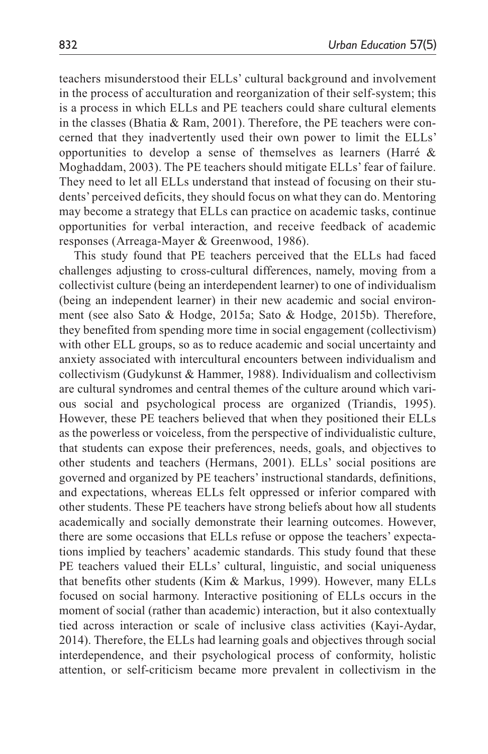teachers misunderstood their ELLs' cultural background and involvement in the process of acculturation and reorganization of their self-system; this is a process in which ELLs and PE teachers could share cultural elements in the classes (Bhatia & Ram, 2001). Therefore, the PE teachers were concerned that they inadvertently used their own power to limit the ELLs' opportunities to develop a sense of themselves as learners (Harré & Moghaddam, 2003). The PE teachers should mitigate ELLs' fear of failure. They need to let all ELLs understand that instead of focusing on their students' perceived deficits, they should focus on what they can do. Mentoring may become a strategy that ELLs can practice on academic tasks, continue opportunities for verbal interaction, and receive feedback of academic responses (Arreaga-Mayer & Greenwood, 1986).

This study found that PE teachers perceived that the ELLs had faced challenges adjusting to cross-cultural differences, namely, moving from a collectivist culture (being an interdependent learner) to one of individualism (being an independent learner) in their new academic and social environment (see also Sato & Hodge, 2015a; Sato & Hodge, 2015b). Therefore, they benefited from spending more time in social engagement (collectivism) with other ELL groups, so as to reduce academic and social uncertainty and anxiety associated with intercultural encounters between individualism and collectivism (Gudykunst & Hammer, 1988). Individualism and collectivism are cultural syndromes and central themes of the culture around which various social and psychological process are organized (Triandis, 1995). However, these PE teachers believed that when they positioned their ELLs as the powerless or voiceless, from the perspective of individualistic culture, that students can expose their preferences, needs, goals, and objectives to other students and teachers (Hermans, 2001). ELLs' social positions are governed and organized by PE teachers' instructional standards, definitions, and expectations, whereas ELLs felt oppressed or inferior compared with other students. These PE teachers have strong beliefs about how all students academically and socially demonstrate their learning outcomes. However, there are some occasions that ELLs refuse or oppose the teachers' expectations implied by teachers' academic standards. This study found that these PE teachers valued their ELLs' cultural, linguistic, and social uniqueness that benefits other students (Kim & Markus, 1999). However, many ELLs focused on social harmony. Interactive positioning of ELLs occurs in the moment of social (rather than academic) interaction, but it also contextually tied across interaction or scale of inclusive class activities (Kayi-Aydar, 2014). Therefore, the ELLs had learning goals and objectives through social interdependence, and their psychological process of conformity, holistic attention, or self-criticism became more prevalent in collectivism in the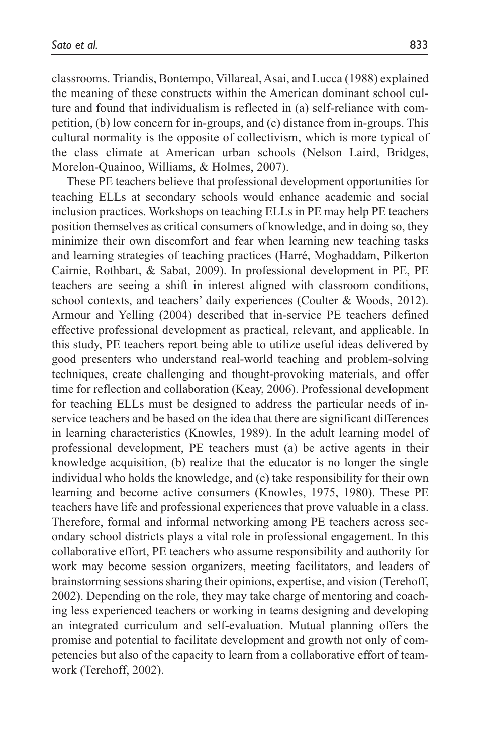classrooms. Triandis, Bontempo, Villareal, Asai, and Lucca (1988) explained the meaning of these constructs within the American dominant school culture and found that individualism is reflected in (a) self-reliance with competition, (b) low concern for in-groups, and (c) distance from in-groups. This cultural normality is the opposite of collectivism, which is more typical of the class climate at American urban schools (Nelson Laird, Bridges, Morelon-Quainoo, Williams, & Holmes, 2007).

These PE teachers believe that professional development opportunities for teaching ELLs at secondary schools would enhance academic and social inclusion practices. Workshops on teaching ELLs in PE may help PE teachers position themselves as critical consumers of knowledge, and in doing so, they minimize their own discomfort and fear when learning new teaching tasks and learning strategies of teaching practices (Harré, Moghaddam, Pilkerton Cairnie, Rothbart, & Sabat, 2009). In professional development in PE, PE teachers are seeing a shift in interest aligned with classroom conditions, school contexts, and teachers' daily experiences (Coulter & Woods, 2012). Armour and Yelling (2004) described that in-service PE teachers defined effective professional development as practical, relevant, and applicable. In this study, PE teachers report being able to utilize useful ideas delivered by good presenters who understand real-world teaching and problem-solving techniques, create challenging and thought-provoking materials, and offer time for reflection and collaboration (Keay, 2006). Professional development for teaching ELLs must be designed to address the particular needs of inservice teachers and be based on the idea that there are significant differences in learning characteristics (Knowles, 1989). In the adult learning model of professional development, PE teachers must (a) be active agents in their knowledge acquisition, (b) realize that the educator is no longer the single individual who holds the knowledge, and (c) take responsibility for their own learning and become active consumers (Knowles, 1975, 1980). These PE teachers have life and professional experiences that prove valuable in a class. Therefore, formal and informal networking among PE teachers across secondary school districts plays a vital role in professional engagement. In this collaborative effort, PE teachers who assume responsibility and authority for work may become session organizers, meeting facilitators, and leaders of brainstorming sessions sharing their opinions, expertise, and vision (Terehoff, 2002). Depending on the role, they may take charge of mentoring and coaching less experienced teachers or working in teams designing and developing an integrated curriculum and self-evaluation. Mutual planning offers the promise and potential to facilitate development and growth not only of competencies but also of the capacity to learn from a collaborative effort of teamwork (Terehoff, 2002).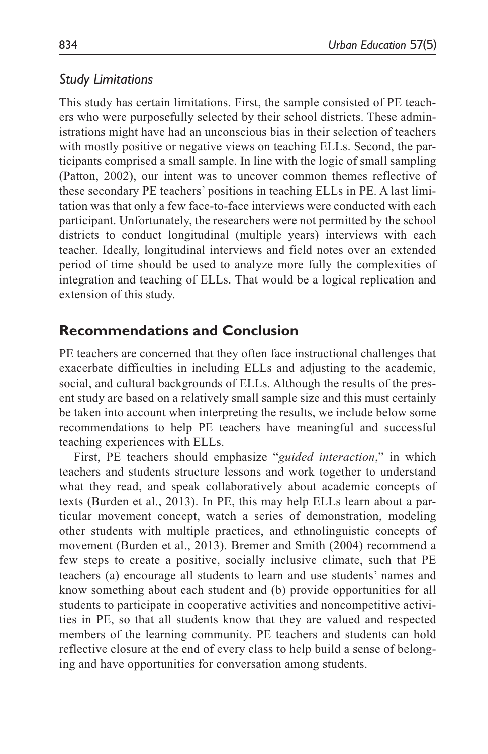### *Study Limitations*

This study has certain limitations. First, the sample consisted of PE teachers who were purposefully selected by their school districts. These administrations might have had an unconscious bias in their selection of teachers with mostly positive or negative views on teaching ELLs. Second, the participants comprised a small sample. In line with the logic of small sampling (Patton, 2002), our intent was to uncover common themes reflective of these secondary PE teachers' positions in teaching ELLs in PE. A last limitation was that only a few face-to-face interviews were conducted with each participant. Unfortunately, the researchers were not permitted by the school districts to conduct longitudinal (multiple years) interviews with each teacher. Ideally, longitudinal interviews and field notes over an extended period of time should be used to analyze more fully the complexities of integration and teaching of ELLs. That would be a logical replication and extension of this study.

## **Recommendations and Conclusion**

PE teachers are concerned that they often face instructional challenges that exacerbate difficulties in including ELLs and adjusting to the academic, social, and cultural backgrounds of ELLs. Although the results of the present study are based on a relatively small sample size and this must certainly be taken into account when interpreting the results, we include below some recommendations to help PE teachers have meaningful and successful teaching experiences with ELLs.

First, PE teachers should emphasize "*guided interaction*," in which teachers and students structure lessons and work together to understand what they read, and speak collaboratively about academic concepts of texts (Burden et al., 2013). In PE, this may help ELLs learn about a particular movement concept, watch a series of demonstration, modeling other students with multiple practices, and ethnolinguistic concepts of movement (Burden et al., 2013). Bremer and Smith (2004) recommend a few steps to create a positive, socially inclusive climate, such that PE teachers (a) encourage all students to learn and use students' names and know something about each student and (b) provide opportunities for all students to participate in cooperative activities and noncompetitive activities in PE, so that all students know that they are valued and respected members of the learning community. PE teachers and students can hold reflective closure at the end of every class to help build a sense of belonging and have opportunities for conversation among students.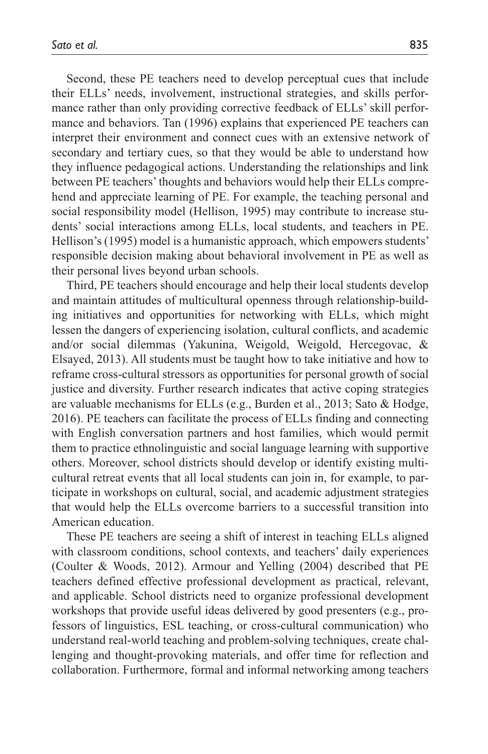Second, these PE teachers need to develop perceptual cues that include their ELLs' needs, involvement, instructional strategies, and skills performance rather than only providing corrective feedback of ELLs' skill performance and behaviors. Tan (1996) explains that experienced PE teachers can interpret their environment and connect cues with an extensive network of secondary and tertiary cues, so that they would be able to understand how they influence pedagogical actions. Understanding the relationships and link between PE teachers' thoughts and behaviors would help their ELLs comprehend and appreciate learning of PE. For example, the teaching personal and social responsibility model (Hellison, 1995) may contribute to increase students' social interactions among ELLs, local students, and teachers in PE. Hellison's (1995) model is a humanistic approach, which empowers students' responsible decision making about behavioral involvement in PE as well as their personal lives beyond urban schools.

Third, PE teachers should encourage and help their local students develop and maintain attitudes of multicultural openness through relationship-building initiatives and opportunities for networking with ELLs, which might lessen the dangers of experiencing isolation, cultural conflicts, and academic and/or social dilemmas (Yakunina, Weigold, Weigold, Hercegovac, & Elsayed, 2013). All students must be taught how to take initiative and how to reframe cross-cultural stressors as opportunities for personal growth of social justice and diversity. Further research indicates that active coping strategies are valuable mechanisms for ELLs (e.g., Burden et al., 2013; Sato & Hodge, 2016). PE teachers can facilitate the process of ELLs finding and connecting with English conversation partners and host families, which would permit them to practice ethnolinguistic and social language learning with supportive others. Moreover, school districts should develop or identify existing multicultural retreat events that all local students can join in, for example, to participate in workshops on cultural, social, and academic adjustment strategies that would help the ELLs overcome barriers to a successful transition into American education.

These PE teachers are seeing a shift of interest in teaching ELLs aligned with classroom conditions, school contexts, and teachers' daily experiences (Coulter & Woods, 2012). Armour and Yelling (2004) described that PE teachers defined effective professional development as practical, relevant, and applicable. School districts need to organize professional development workshops that provide useful ideas delivered by good presenters (e.g., professors of linguistics, ESL teaching, or cross-cultural communication) who understand real-world teaching and problem-solving techniques, create challenging and thought-provoking materials, and offer time for reflection and collaboration. Furthermore, formal and informal networking among teachers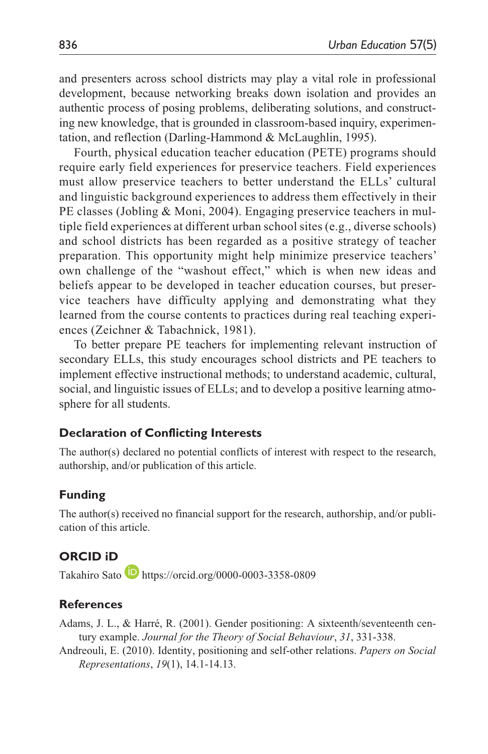and presenters across school districts may play a vital role in professional development, because networking breaks down isolation and provides an authentic process of posing problems, deliberating solutions, and constructing new knowledge, that is grounded in classroom-based inquiry, experimentation, and reflection (Darling-Hammond & McLaughlin, 1995).

Fourth, physical education teacher education (PETE) programs should require early field experiences for preservice teachers. Field experiences must allow preservice teachers to better understand the ELLs' cultural and linguistic background experiences to address them effectively in their PE classes (Jobling & Moni, 2004). Engaging preservice teachers in multiple field experiences at different urban school sites (e.g., diverse schools) and school districts has been regarded as a positive strategy of teacher preparation. This opportunity might help minimize preservice teachers' own challenge of the "washout effect," which is when new ideas and beliefs appear to be developed in teacher education courses, but preservice teachers have difficulty applying and demonstrating what they learned from the course contents to practices during real teaching experiences (Zeichner & Tabachnick, 1981).

To better prepare PE teachers for implementing relevant instruction of secondary ELLs, this study encourages school districts and PE teachers to implement effective instructional methods; to understand academic, cultural, social, and linguistic issues of ELLs; and to develop a positive learning atmosphere for all students.

#### **Declaration of Conflicting Interests**

The author(s) declared no potential conflicts of interest with respect to the research, authorship, and/or publication of this article.

#### **Funding**

The author(s) received no financial support for the research, authorship, and/or publication of this article.

### **ORCID iD**

Takahiro Sato <https://orcid.org/0000-0003-3358-0809>

#### **References**

Adams, J. L., & Harré, R. (2001). Gender positioning: A sixteenth/seventeenth century example. *Journal for the Theory of Social Behaviour*, *31*, 331-338.

Andreouli, E. (2010). Identity, positioning and self-other relations. *Papers on Social Representations*, *19*(1), 14.1-14.13.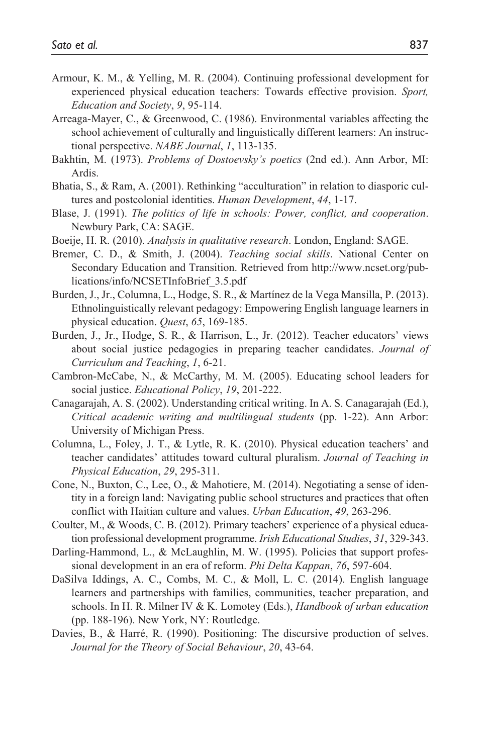- Armour, K. M., & Yelling, M. R. (2004). Continuing professional development for experienced physical education teachers: Towards effective provision. *Sport, Education and Society*, *9*, 95-114.
- Arreaga-Mayer, C., & Greenwood, C. (1986). Environmental variables affecting the school achievement of culturally and linguistically different learners: An instructional perspective. *NABE Journal*, *1*, 113-135.
- Bakhtin, M. (1973). *Problems of Dostoevsky's poetics* (2nd ed.). Ann Arbor, MI: Ardis.
- Bhatia, S., & Ram, A. (2001). Rethinking "acculturation" in relation to diasporic cultures and postcolonial identities. *Human Development*, *44*, 1-17.
- Blase, J. (1991). *The politics of life in schools: Power, conflict, and cooperation*. Newbury Park, CA: SAGE.
- Boeije, H. R. (2010). *Analysis in qualitative research*. London, England: SAGE.
- Bremer, C. D., & Smith, J. (2004). *Teaching social skills*. National Center on Secondary Education and Transition. Retrieved from [http://www.ncset.org/pub](http://www.ncset.org/publications/info/NCSETInfoBrief_3.5.pdf)[lications/info/NCSETInfoBrief\\_3.5.pdf](http://www.ncset.org/publications/info/NCSETInfoBrief_3.5.pdf)
- Burden, J., Jr., Columna, L., Hodge, S. R., & Martínez de la Vega Mansilla, P. (2013). Ethnolinguistically relevant pedagogy: Empowering English language learners in physical education. *Quest*, *65*, 169-185.
- Burden, J., Jr., Hodge, S. R., & Harrison, L., Jr. (2012). Teacher educators' views about social justice pedagogies in preparing teacher candidates. *Journal of Curriculum and Teaching*, *1*, 6-21.
- Cambron-McCabe, N., & McCarthy, M. M. (2005). Educating school leaders for social justice. *Educational Policy*, *19*, 201-222.
- Canagarajah, A. S. (2002). Understanding critical writing. In A. S. Canagarajah (Ed.), *Critical academic writing and multilingual students* (pp. 1-22). Ann Arbor: University of Michigan Press.
- Columna, L., Foley, J. T., & Lytle, R. K. (2010). Physical education teachers' and teacher candidates' attitudes toward cultural pluralism. *Journal of Teaching in Physical Education*, *29*, 295-311.
- Cone, N., Buxton, C., Lee, O., & Mahotiere, M. (2014). Negotiating a sense of identity in a foreign land: Navigating public school structures and practices that often conflict with Haitian culture and values. *Urban Education*, *49*, 263-296.
- Coulter, M., & Woods, C. B. (2012). Primary teachers' experience of a physical education professional development programme. *Irish Educational Studies*, *31*, 329-343.
- Darling-Hammond, L., & McLaughlin, M. W. (1995). Policies that support professional development in an era of reform. *Phi Delta Kappan*, *76*, 597-604.
- DaSilva Iddings, A. C., Combs, M. C., & Moll, L. C. (2014). English language learners and partnerships with families, communities, teacher preparation, and schools. In H. R. Milner IV & K. Lomotey (Eds.), *Handbook of urban education* (pp. 188-196). New York, NY: Routledge.
- Davies, B., & Harré, R. (1990). Positioning: The discursive production of selves. *Journal for the Theory of Social Behaviour*, *20*, 43-64.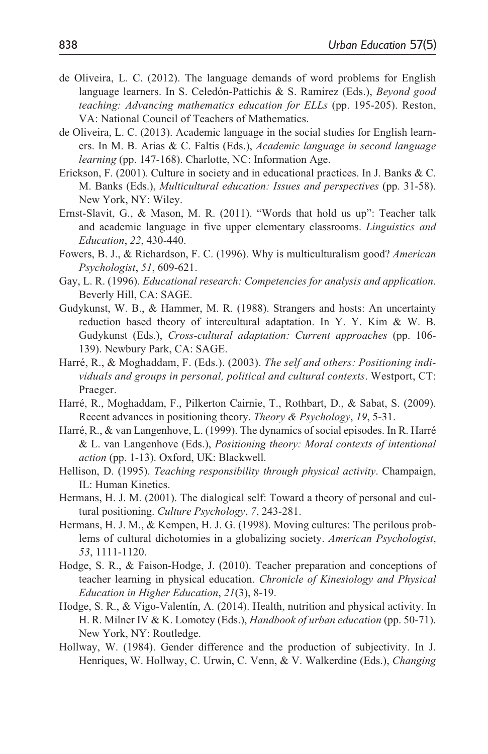- de Oliveira, L. C. (2012). The language demands of word problems for English language learners. In S. Celedón-Pattichis & S. Ramirez (Eds.), *Beyond good teaching: Advancing mathematics education for ELLs* (pp. 195-205). Reston, VA: National Council of Teachers of Mathematics.
- de Oliveira, L. C. (2013). Academic language in the social studies for English learners. In M. B. Arias & C. Faltis (Eds.), *Academic language in second language learning* (pp. 147-168). Charlotte, NC: Information Age.
- Erickson, F. (2001). Culture in society and in educational practices. In J. Banks & C. M. Banks (Eds.), *Multicultural education: Issues and perspectives* (pp. 31-58). New York, NY: Wiley.
- Ernst-Slavit, G., & Mason, M. R. (2011). "Words that hold us up": Teacher talk and academic language in five upper elementary classrooms. *Linguistics and Education*, *22*, 430-440.
- Fowers, B. J., & Richardson, F. C. (1996). Why is multiculturalism good? *American Psychologist*, *51*, 609-621.
- Gay, L. R. (1996). *Educational research: Competencies for analysis and application*. Beverly Hill, CA: SAGE.
- Gudykunst, W. B., & Hammer, M. R. (1988). Strangers and hosts: An uncertainty reduction based theory of intercultural adaptation. In Y. Y. Kim & W. B. Gudykunst (Eds.), *Cross-cultural adaptation: Current approaches* (pp. 106- 139). Newbury Park, CA: SAGE.
- Harré, R., & Moghaddam, F. (Eds.). (2003). *The self and others: Positioning individuals and groups in personal, political and cultural contexts*. Westport, CT: Praeger.
- Harré, R., Moghaddam, F., Pilkerton Cairnie, T., Rothbart, D., & Sabat, S. (2009). Recent advances in positioning theory. *Theory & Psychology*, *19*, 5-31.
- Harré, R., & van Langenhove, L. (1999). The dynamics of social episodes. In R. Harré & L. van Langenhove (Eds.), *Positioning theory: Moral contexts of intentional action* (pp. 1-13). Oxford, UK: Blackwell.
- Hellison, D. (1995). *Teaching responsibility through physical activity*. Champaign, IL: Human Kinetics.
- Hermans, H. J. M. (2001). The dialogical self: Toward a theory of personal and cultural positioning. *Culture Psychology*, *7*, 243-281.
- Hermans, H. J. M., & Kempen, H. J. G. (1998). Moving cultures: The perilous problems of cultural dichotomies in a globalizing society. *American Psychologist*, *53*, 1111-1120.
- Hodge, S. R., & Faison-Hodge, J. (2010). Teacher preparation and conceptions of teacher learning in physical education. *Chronicle of Kinesiology and Physical Education in Higher Education*, *21*(3), 8-19.
- Hodge, S. R., & Vigo-Valentín, A. (2014). Health, nutrition and physical activity. In H. R. Milner IV & K. Lomotey (Eds.), *Handbook of urban education* (pp. 50-71). New York, NY: Routledge.
- Hollway, W. (1984). Gender difference and the production of subjectivity. In J. Henriques, W. Hollway, C. Urwin, C. Venn, & V. Walkerdine (Eds.), *Changing*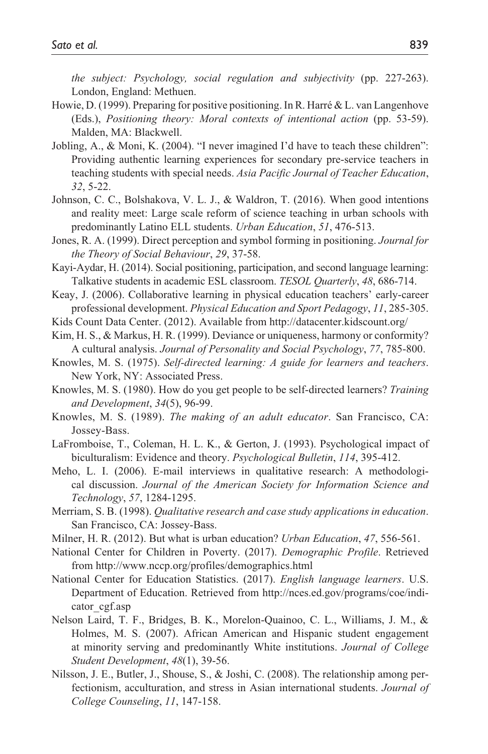*the subject: Psychology, social regulation and subjectivity* (pp. 227-263). London, England: Methuen.

- Howie, D. (1999). Preparing for positive positioning. In R. Harré & L. van Langenhove (Eds.), *Positioning theory: Moral contexts of intentional action* (pp. 53-59). Malden, MA: Blackwell.
- Jobling, A., & Moni, K. (2004). "I never imagined I'd have to teach these children": Providing authentic learning experiences for secondary pre-service teachers in teaching students with special needs. *Asia Pacific Journal of Teacher Education*, *32*, 5-22.
- Johnson, C. C., Bolshakova, V. L. J., & Waldron, T. (2016). When good intentions and reality meet: Large scale reform of science teaching in urban schools with predominantly Latino ELL students. *Urban Education*, *51*, 476-513.
- Jones, R. A. (1999). Direct perception and symbol forming in positioning. *Journal for the Theory of Social Behaviour*, *29*, 37-58.
- Kayi-Aydar, H. (2014). Social positioning, participation, and second language learning: Talkative students in academic ESL classroom. *TESOL Quarterly*, *48*, 686-714.
- Keay, J. (2006). Collaborative learning in physical education teachers' early-career professional development. *Physical Education and Sport Pedagogy*, *11*, 285-305.
- Kids Count Data Center. (2012). Available from <http://datacenter.kidscount.org/>
- Kim, H. S., & Markus, H. R. (1999). Deviance or uniqueness, harmony or conformity? A cultural analysis. *Journal of Personality and Social Psychology*, *77*, 785-800.
- Knowles, M. S. (1975). *Self-directed learning: A guide for learners and teachers*. New York, NY: Associated Press.
- Knowles, M. S. (1980). How do you get people to be self-directed learners? *Training and Development*, *34*(5), 96-99.
- Knowles, M. S. (1989). *The making of an adult educator*. San Francisco, CA: Jossey-Bass.
- LaFromboise, T., Coleman, H. L. K., & Gerton, J. (1993). Psychological impact of biculturalism: Evidence and theory. *Psychological Bulletin*, *114*, 395-412.
- Meho, L. I. (2006). E-mail interviews in qualitative research: A methodological discussion. *Journal of the American Society for Information Science and Technology*, *57*, 1284-1295.
- Merriam, S. B. (1998). *Qualitative research and case study applications in education*. San Francisco, CA: Jossey-Bass.
- Milner, H. R. (2012). But what is urban education? *Urban Education*, *47*, 556-561.
- National Center for Children in Poverty. (2017). *Demographic Profile*. Retrieved from <http://www.nccp.org/profiles/demographics.html>
- National Center for Education Statistics. (2017). *English language learners*. U.S. Department of Education. Retrieved from [http://nces.ed.gov/programs/coe/indi](http://nces.ed.gov/programs/coe/indicator_cgf.asp)[cator\\_cgf.asp](http://nces.ed.gov/programs/coe/indicator_cgf.asp)
- Nelson Laird, T. F., Bridges, B. K., Morelon-Quainoo, C. L., Williams, J. M., & Holmes, M. S. (2007). African American and Hispanic student engagement at minority serving and predominantly White institutions. *Journal of College Student Development*, *48*(1), 39-56.
- Nilsson, J. E., Butler, J., Shouse, S., & Joshi, C. (2008). The relationship among perfectionism, acculturation, and stress in Asian international students. *Journal of College Counseling*, *11*, 147-158.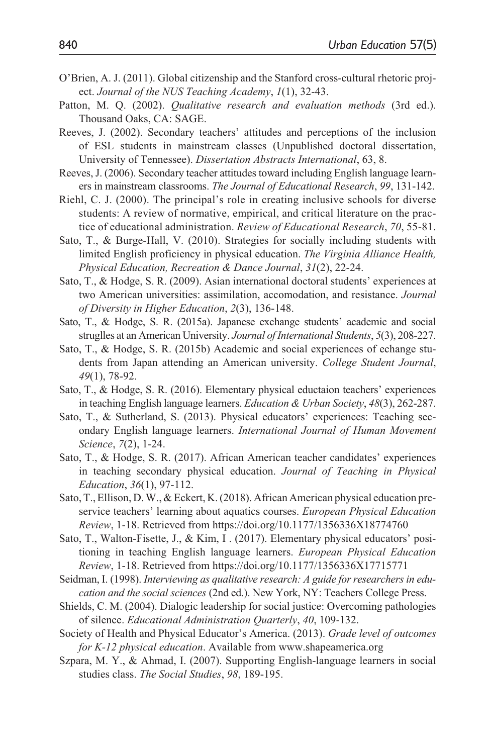- O'Brien, A. J. (2011). Global citizenship and the Stanford cross-cultural rhetoric project. *Journal of the NUS Teaching Academy*, *1*(1), 32-43.
- Patton, M. Q. (2002). *Qualitative research and evaluation methods* (3rd ed.). Thousand Oaks, CA: SAGE.
- Reeves, J. (2002). Secondary teachers' attitudes and perceptions of the inclusion of ESL students in mainstream classes (Unpublished doctoral dissertation, University of Tennessee). *Dissertation Abstracts International*, 63, 8.
- Reeves, J. (2006). Secondary teacher attitudes toward including English language learners in mainstream classrooms. *The Journal of Educational Research*, *99*, 131-142.
- Riehl, C. J. (2000). The principal's role in creating inclusive schools for diverse students: A review of normative, empirical, and critical literature on the practice of educational administration. *Review of Educational Research*, *70*, 55-81.
- Sato, T., & Burge-Hall, V. (2010). Strategies for socially including students with limited English proficiency in physical education. *The Virginia Alliance Health, Physical Education, Recreation & Dance Journal*, *31*(2), 22-24.
- Sato, T., & Hodge, S. R. (2009). Asian international doctoral students' experiences at two American universities: assimilation, accomodation, and resistance. *Journal of Diversity in Higher Education*, *2*(3), 136-148.
- Sato, T., & Hodge, S. R. (2015a). Japanese exchange students' academic and social struglles at an American University. *Journal of International Students*, *5*(3), 208-227.
- Sato, T., & Hodge, S. R. (2015b) Academic and social experiences of echange students from Japan attending an American university. *College Student Journal*, *49*(1), 78-92.
- Sato, T., & Hodge, S. R. (2016). Elementary physical eductaion teachers' experiences in teaching English language learners. *Education & Urban Society*, *48*(3), 262-287.
- Sato, T., & Sutherland, S. (2013). Physical educators' experiences: Teaching secondary English language learners. *International Journal of Human Movement Science*, *7*(2), 1-24.
- Sato, T., & Hodge, S. R. (2017). African American teacher candidates' experiences in teaching secondary physical education. *Journal of Teaching in Physical Education*, *36*(1), 97-112.
- Sato, T., Ellison, D. W., & Eckert, K. (2018). African American physical education preservice teachers' learning about aquatics courses. *European Physical Education Review*, 1-18. Retrieved from<https://doi.org/10.1177/1356336X18774760>
- Sato, T., Walton-Fisette, J., & Kim, I . (2017). Elementary physical educators' positioning in teaching English language learners. *European Physical Education Review*, 1-18. Retrieved from https://doi.org/10.1177/1356336X17715771
- Seidman, I. (1998). *Interviewing as qualitative research: A guide for researchers in education and the social sciences* (2nd ed.). New York, NY: Teachers College Press.
- Shields, C. M. (2004). Dialogic leadership for social justice: Overcoming pathologies of silence. *Educational Administration Quarterly*, *40*, 109-132.
- Society of Health and Physical Educator's America. (2013). *Grade level of outcomes for K-12 physical education*. Available from<www.shapeamerica.org>
- Szpara, M. Y., & Ahmad, I. (2007). Supporting English-language learners in social studies class. *The Social Studies*, *98*, 189-195.